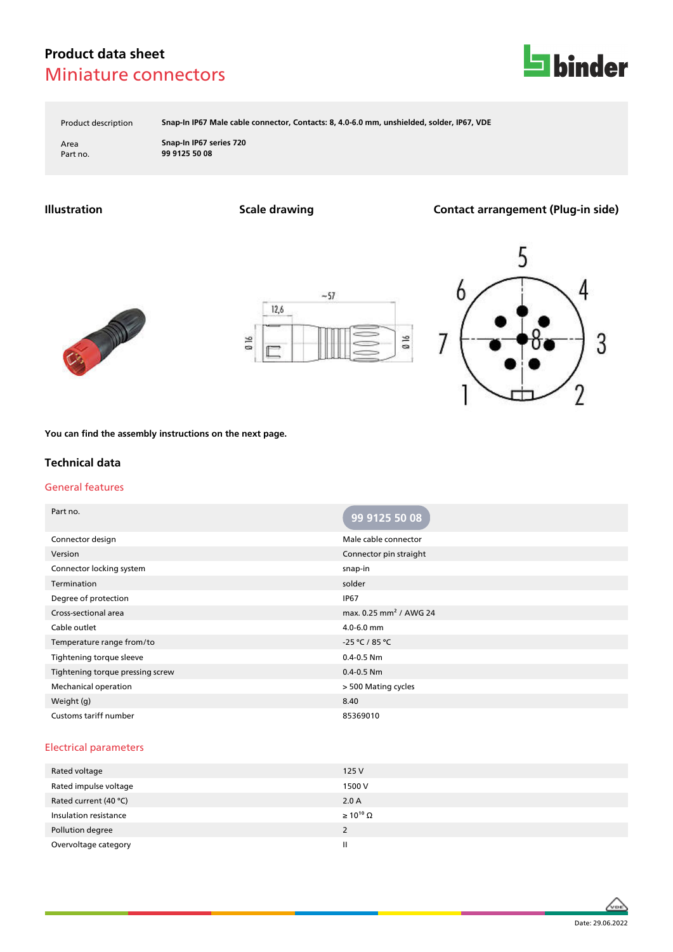# **Product data sheet** Miniature connectors



Product description **Snap-In IP67 Male cable connector, Contacts: 8, 4.0-6.0 mm, unshielded, solder, IP67, VDE**

Area **Snap-In IP67 series 720** Part no. **99 9125 50 08**

**Illustration Scale drawing Contact arrangement (Plug-in side)**







**You can find the assembly instructions on the next page.**

### **Technical data**

#### General features

| Part no.                         | 99 9125 50 08                      |
|----------------------------------|------------------------------------|
| Connector design                 | Male cable connector               |
| Version                          | Connector pin straight             |
| Connector locking system         | snap-in                            |
| Termination                      | solder                             |
| Degree of protection             | <b>IP67</b>                        |
| Cross-sectional area             | max. 0.25 mm <sup>2</sup> / AWG 24 |
| Cable outlet                     | $4.0 - 6.0$ mm                     |
| Temperature range from/to        | -25 °C / 85 °C                     |
| Tightening torque sleeve         | $0.4 - 0.5$ Nm                     |
| Tightening torque pressing screw | $0.4 - 0.5$ Nm                     |
| Mechanical operation             | > 500 Mating cycles                |
| Weight (g)                       | 8.40                               |
| Customs tariff number            | 85369010                           |

#### Electrical parameters

| Rated voltage         | 125 V                 |
|-----------------------|-----------------------|
| Rated impulse voltage | 1500 V                |
| Rated current (40 °C) | 2.0A                  |
| Insulation resistance | $\geq 10^{10} \Omega$ |
| Pollution degree      | 2                     |
| Overvoltage category  | Ш                     |

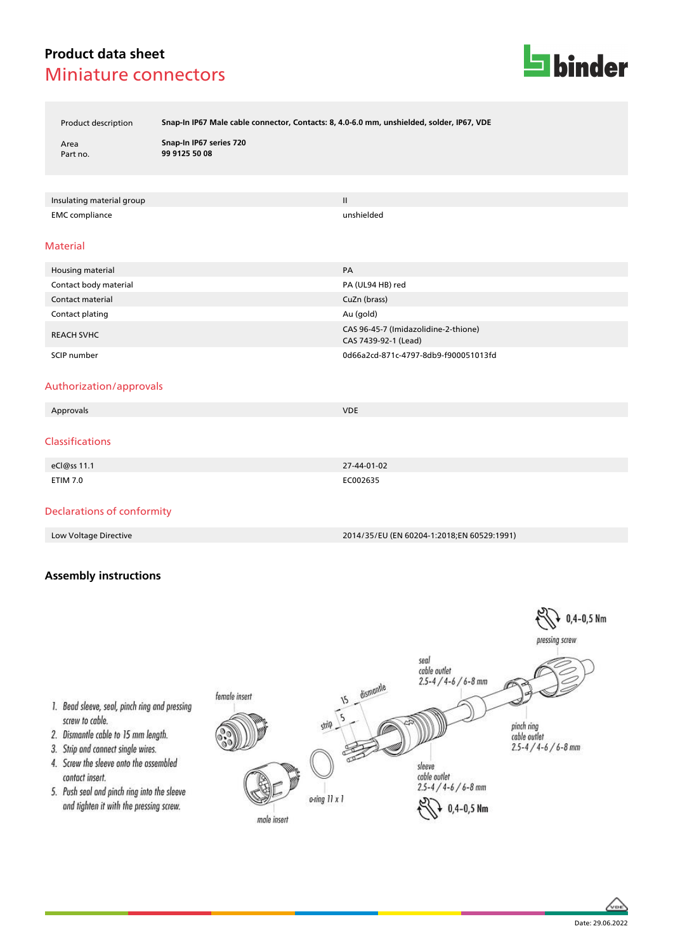# **Product data sheet** Miniature connectors



Product description **Snap-In IP67 Male cable connector, Contacts: 8, 4.0-6.0 mm, unshielded, solder, IP67, VDE**

Area **Snap-In IP67 series 720** Part no. **99 9125 50 08**

Insulating material group II and the control of the control of the control of the control of the control of the control of the control of the control of the control of the control of the control of the control of the contr EMC compliance unshielded

#### Material

| Housing material      | PA                                                           |
|-----------------------|--------------------------------------------------------------|
| Contact body material | PA (UL94 HB) red                                             |
| Contact material      | CuZn (brass)                                                 |
| Contact plating       | Au (gold)                                                    |
| <b>REACH SVHC</b>     | CAS 96-45-7 (Imidazolidine-2-thione)<br>CAS 7439-92-1 (Lead) |
| SCIP number           | 0d66a2cd-871c-4797-8db9-f900051013fd                         |

#### Authorization/approvals

| Approvals       | <b>VDE</b>  |
|-----------------|-------------|
| Classifications |             |
| eCl@ss 11.1     | 27-44-01-02 |
| <b>ETIM 7.0</b> | EC002635    |

### Declarations of conformity

Low Voltage Directive 2014/35/EU (EN 60204-1:2018;EN 60529:1991)

## **Assembly instructions**





1. Bead sleeve, seal, pinch ring and pressing screw to cable.

- 2. Dismantle cable to 15 mm length.
- 3. Strip and connect single wires.
- 4. Screw the sleeve onto the assembled contact insert.
- 5. Push seal and pinch ring into the sleeve and tighten it with the pressing screw.